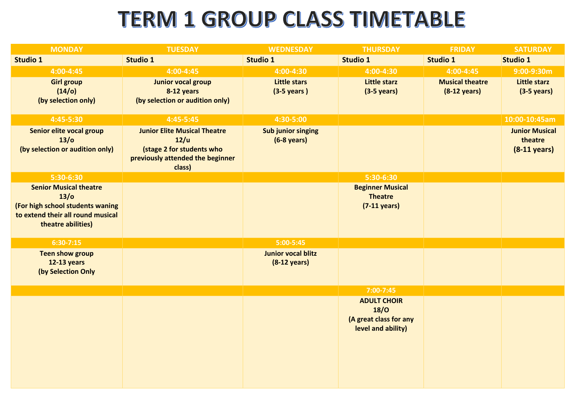## **TERM 1 GROUP CLASS TIMETABLE**

| <b>MONDAY</b>                                                                                                                        | <b>TUESDAY</b>                                                                                                         | <b>WEDNESDAY</b>                                    | <b>THURSDAY</b>                                                                   | <b>FRIDAY</b>                                    | <b>SATURDAY</b>                                            |
|--------------------------------------------------------------------------------------------------------------------------------------|------------------------------------------------------------------------------------------------------------------------|-----------------------------------------------------|-----------------------------------------------------------------------------------|--------------------------------------------------|------------------------------------------------------------|
| Studio 1                                                                                                                             | Studio 1                                                                                                               | <b>Studio 1</b>                                     | <b>Studio 1</b>                                                                   | Studio 1                                         | <b>Studio 1</b>                                            |
| 4:00-4:45                                                                                                                            | 4:00-4:45                                                                                                              | 4:00-4:30                                           | 4:00-4:30                                                                         | 4:00-4:45                                        | 9:00-9:30m                                                 |
| <b>Girl group</b><br>(14/°)<br>(by selection only)                                                                                   | <b>Junior vocal group</b><br>8-12 years<br>(by selection or audition only)                                             | <b>Little stars</b><br>$(3-5$ years)                | Little starz<br>$(3-5 \text{ years})$                                             | <b>Musical theatre</b><br>$(8-12 \text{ years})$ | <b>Little starz</b><br>$(3-5 \text{ years})$               |
| 4:45-5:30                                                                                                                            | 4:45-5:45                                                                                                              | 4:30-5:00                                           |                                                                                   |                                                  | 10:00-10:45am                                              |
| Senior elite vocal group<br>13/0<br>(by selection or audition only)                                                                  | <b>Junior Elite Musical Theatre</b><br>12/u<br>(stage 2 for students who<br>previously attended the beginner<br>class) | <b>Sub junior singing</b><br>$(6-8 \text{ years})$  |                                                                                   |                                                  | <b>Junior Musical</b><br>theatre<br>$(8-11 \text{ years})$ |
| 5:30-6:30                                                                                                                            |                                                                                                                        |                                                     | 5:30-6:30                                                                         |                                                  |                                                            |
| <b>Senior Musical theatre</b><br>13/o<br>(For high school students waning<br>to extend their all round musical<br>theatre abilities) |                                                                                                                        |                                                     | <b>Beginner Musical</b><br><b>Theatre</b><br>$(7-11 \text{ years})$               |                                                  |                                                            |
| $6:30-7:15$                                                                                                                          |                                                                                                                        | $5:00-5:45$                                         |                                                                                   |                                                  |                                                            |
| <b>Teen show group</b><br><b>12-13 years</b><br>(by Selection Only                                                                   |                                                                                                                        | <b>Junior vocal blitz</b><br>$(8-12 \text{ years})$ |                                                                                   |                                                  |                                                            |
|                                                                                                                                      |                                                                                                                        |                                                     | 7:00-7:45                                                                         |                                                  |                                                            |
|                                                                                                                                      |                                                                                                                        |                                                     | <b>ADULT CHOIR</b><br><b>18/0</b><br>(A great class for any<br>level and ability) |                                                  |                                                            |